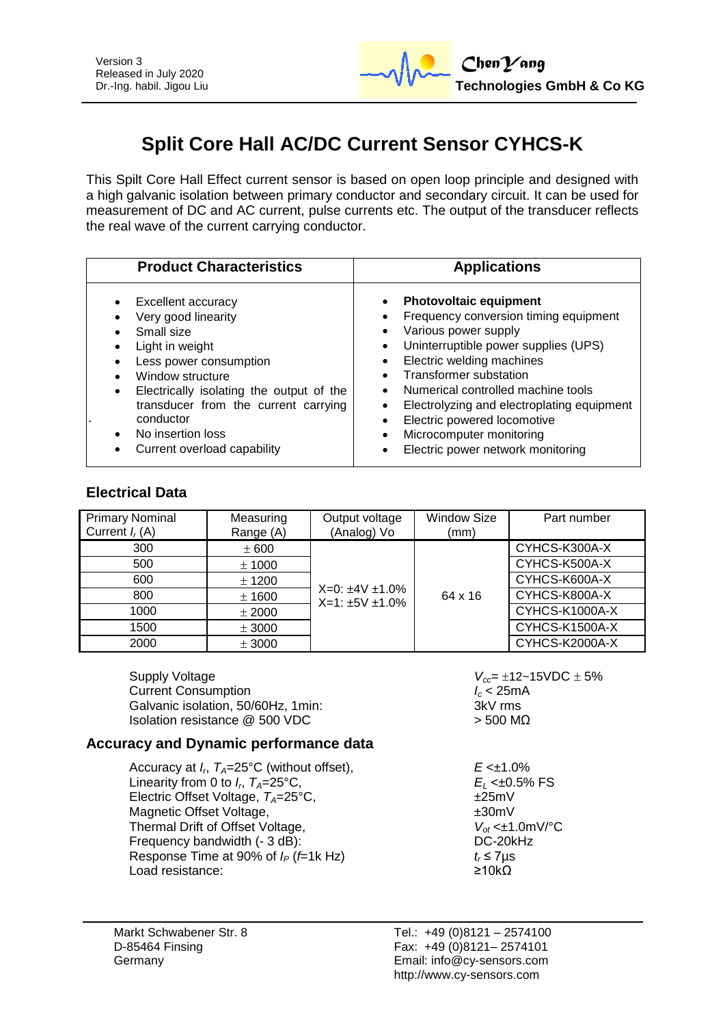

# **Split Core Hall AC/DC Current Sensor CYHCS-K**

This Spilt Core Hall Effect current sensor is based on open loop principle and designed with a high galvanic isolation between primary conductor and secondary circuit. It can be used for measurement of DC and AC current, pulse currents etc. The output of the transducer reflects the real wave of the current carrying conductor.

| <b>Product Characteristics</b>                                                                                                                                                                                                                                                                    | <b>Applications</b>                                                                                                                                                                                                                                                                                                                                                                                                                        |
|---------------------------------------------------------------------------------------------------------------------------------------------------------------------------------------------------------------------------------------------------------------------------------------------------|--------------------------------------------------------------------------------------------------------------------------------------------------------------------------------------------------------------------------------------------------------------------------------------------------------------------------------------------------------------------------------------------------------------------------------------------|
| <b>Excellent accuracy</b><br>Very good linearity<br>Small size<br>Light in weight<br>Less power consumption<br>Window structure<br>Electrically isolating the output of the<br>$\bullet$<br>transducer from the current carrying<br>conductor<br>No insertion loss<br>Current overload capability | <b>Photovoltaic equipment</b><br>$\bullet$<br>Frequency conversion timing equipment<br>Various power supply<br>Uninterruptible power supplies (UPS)<br>$\bullet$<br>Electric welding machines<br>Transformer substation<br>Numerical controlled machine tools<br>Electrolyzing and electroplating equipment<br>$\bullet$<br>Electric powered locomotive<br>$\bullet$<br>Microcomputer monitoring<br>Electric power network monitoring<br>٠ |

## **Electrical Data**

| <b>Primary Nominal</b><br>Current $I_r(A)$ | Measuring<br>Range (A) | Output voltage<br>(Analog) Vo | <b>Window Size</b><br>(mm) | Part number    |
|--------------------------------------------|------------------------|-------------------------------|----------------------------|----------------|
| 300                                        | ± 600                  |                               |                            | CYHCS-K300A-X  |
| 500                                        | ± 1000                 |                               |                            | CYHCS-K500A-X  |
| 600                                        | ± 1200                 | $X=0: \pm 4V \pm 1.0\%$       |                            | CYHCS-K600A-X  |
| 800                                        | ± 1600                 | $X=1:±5V±1.0%$                | 64 x 16                    | CYHCS-K800A-X  |
| 1000                                       | ± 2000                 |                               |                            | CYHCS-K1000A-X |
| 1500                                       | ± 3000                 |                               |                            | CYHCS-K1500A-X |
| 2000                                       | ± 3000                 |                               |                            | CYHCS-K2000A-X |

Supply Voltage *V<sub>cc</sub>*= 12~15VDC ± 5%<br>Current Consumption **6.25**<br>Current Consumption Current Consumption *I<sub>c</sub>* **< 25m**<br>Galvanic isolation, 50/60Hz, 1min: **ICC 1969** 3kV rms Galvanic isolation, 50/60Hz, 1min: Isolation resistance  $@$  500 VDC  $>$  500 MΩ

### **Accuracy and Dynamic performance data**

- Accuracy at *I<sup>r</sup>* , *TA*=25°C (without offset), *E* <±1.0% Linearity from 0 to  $I<sub>c</sub> T<sub>4</sub>=25$ °C. Electric Offset Voltage,  $T_A = 25^{\circ}$ C,  $\pm 25$ mV<br>Magnetic Offset Voltage. Magnetic Offset Voltage, Thermal Drift of Offset Voltage,  $V_{ot} \leq \pm 1.0 \text{mV} / \text{°C}$ <br>Frequency bandwidth (- 3 dB): DC-20kHz Frequency bandwidth (- 3 dB): Response Time at 90% of  $I_P$  (*f*=1k Hz)  $t_r \le 7 \mu s$ Load resistance: ≥10kΩ
- 

 $E_L$  <±0.5% FS<br>±25mV